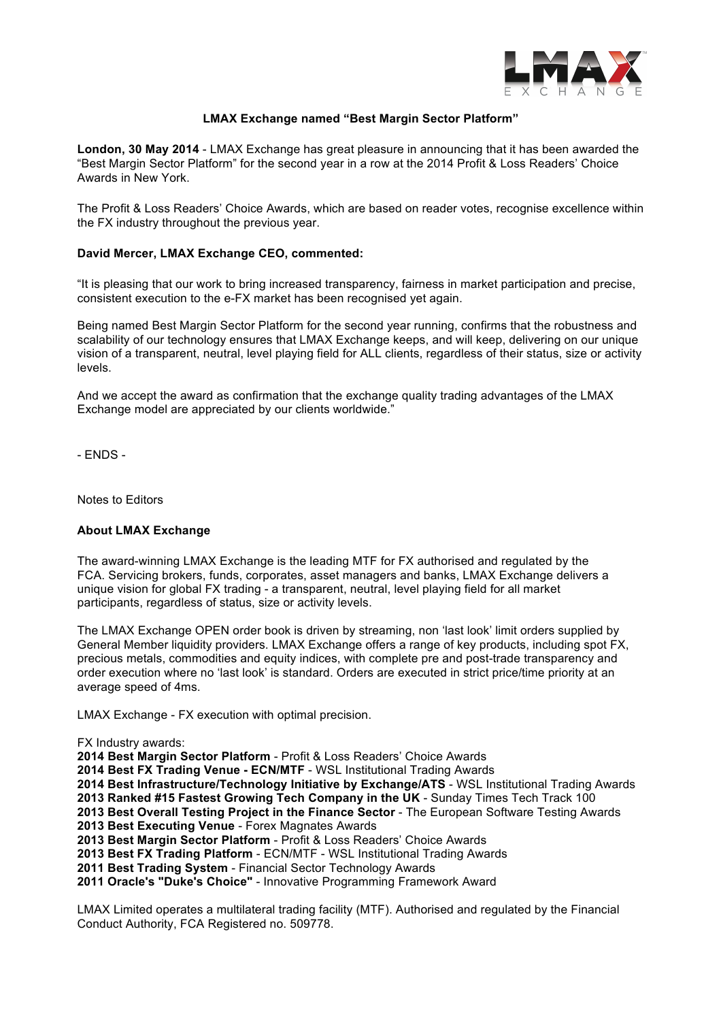

## **LMAX Exchange named "Best Margin Sector Platform"**

**London, 30 May 2014** - LMAX Exchange has great pleasure in announcing that it has been awarded the "Best Margin Sector Platform" for the second year in a row at the 2014 Profit & Loss Readers' Choice Awards in New York.

The Profit & Loss Readers' Choice Awards, which are based on reader votes, recognise excellence within the FX industry throughout the previous year.

## **David Mercer, LMAX Exchange CEO, commented:**

"It is pleasing that our work to bring increased transparency, fairness in market participation and precise, consistent execution to the e-FX market has been recognised yet again.

Being named Best Margin Sector Platform for the second year running, confirms that the robustness and scalability of our technology ensures that LMAX Exchange keeps, and will keep, delivering on our unique vision of a transparent, neutral, level playing field for ALL clients, regardless of their status, size or activity levels.

And we accept the award as confirmation that the exchange quality trading advantages of the LMAX Exchange model are appreciated by our clients worldwide."

- ENDS -

Notes to Editors

## **About LMAX Exchange**

The award-winning LMAX Exchange is the leading MTF for FX authorised and regulated by the FCA. Servicing brokers, funds, corporates, asset managers and banks, LMAX Exchange delivers a unique vision for global FX trading - a transparent, neutral, level playing field for all market participants, regardless of status, size or activity levels.

The LMAX Exchange OPEN order book is driven by streaming, non 'last look' limit orders supplied by General Member liquidity providers. LMAX Exchange offers a range of key products, including spot FX, precious metals, commodities and equity indices, with complete pre and post-trade transparency and order execution where no 'last look' is standard. Orders are executed in strict price/time priority at an average speed of 4ms.

LMAX Exchange - FX execution with optimal precision.

FX Industry awards:

**2014 Best Margin Sector Platform** - Profit & Loss Readers' Choice Awards

**2014 Best FX Trading Venue - ECN/MTF** - WSL Institutional Trading Awards

**2014 Best Infrastructure/Technology Initiative by Exchange/ATS** - WSL Institutional Trading Awards

**2013 Ranked #15 Fastest Growing Tech Company in the UK** - Sunday Times Tech Track 100

**2013 Best Overall Testing Project in the Finance Sector** - The European Software Testing Awards **2013 Best Executing Venue** - Forex Magnates Awards

**2013 Best Margin Sector Platform** - Profit & Loss Readers' Choice Awards

**2013 Best FX Trading Platform** - ECN/MTF - WSL Institutional Trading Awards

**2011 Best Trading System** - Financial Sector Technology Awards

**2011 Oracle's "Duke's Choice"** - Innovative Programming Framework Award

LMAX Limited operates a multilateral trading facility (MTF). Authorised and regulated by the Financial Conduct Authority, FCA Registered no. 509778.